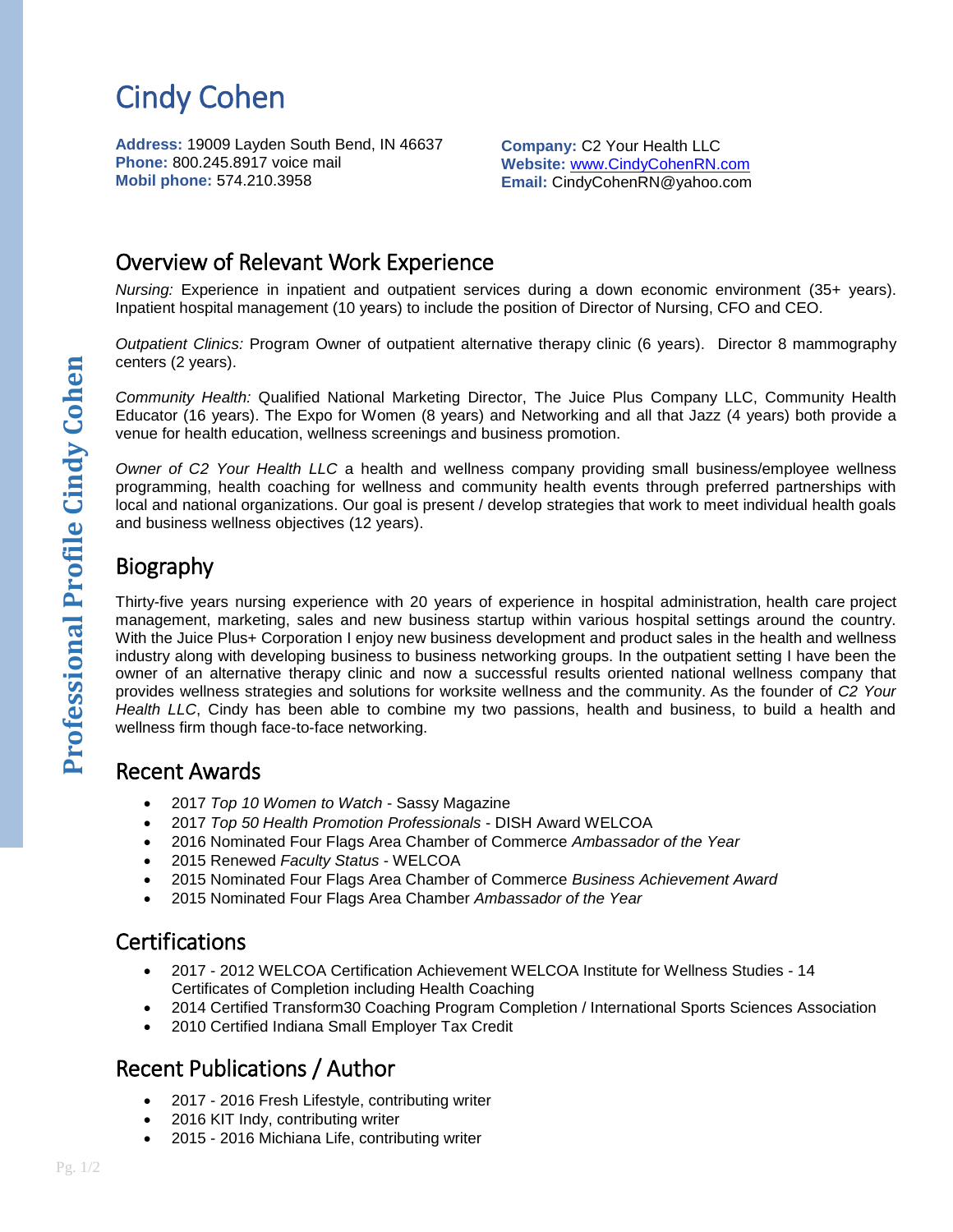# Cindy Cohen

**Address:** 19009 Layden South Bend, IN 46637 **Phone:** 800.245.8917 voice mail **Mobil phone:** 574.210.3958

**Company:** C2 Your Health LLC **Website:** [www.CindyCohenRN.com](http://www.cindycohenrn.com/) **Email:** CindyCohenRN@yahoo.com

### Overview of Relevant Work Experience

*Nursing:* Experience in inpatient and outpatient services during a down economic environment (35+ years). Inpatient hospital management (10 years) to include the position of Director of Nursing, CFO and CEO.

*Outpatient Clinics:* Program Owner of outpatient alternative therapy clinic (6 years). Director 8 mammography centers (2 years).

*Community Health:* Qualified National Marketing Director, The Juice Plus Company LLC, Community Health Educator (16 years). The Expo for Women (8 years) and Networking and all that Jazz (4 years) both provide a venue for health education, wellness screenings and business promotion.

*Owner of C2 Your Health LLC* a health and wellness company providing small business/employee wellness programming, health coaching for wellness and community health events through preferred partnerships with local and national organizations. Our goal is present / develop strategies that work to meet individual health goals and business wellness objectives (12 years).

# Biography

Thirty-five years nursing experience with 20 years of experience in hospital administration, health care project management, marketing, sales and new business startup within various hospital settings around the country. With the Juice Plus+ Corporation I enjoy new business development and product sales in the health and wellness industry along with developing business to business networking groups. In the outpatient setting I have been the owner of an alternative therapy clinic and now a successful results oriented national wellness company that provides wellness strategies and solutions for worksite wellness and the community. As the founder of *C2 Your Health LLC*, Cindy has been able to combine my two passions, health and business, to build a health and wellness firm though face-to-face networking.

#### Recent Awards

- 2017 *Top 10 Women to Watch* Sassy Magazine
- 2017 *Top 50 Health Promotion Professionals* DISH Award WELCOA
- 2016 Nominated Four Flags Area Chamber of Commerce *Ambassador of the Year*
- 2015 Renewed *Faculty Status* WELCOA
- 2015 Nominated Four Flags Area Chamber of Commerce *Business Achievement Award*
- 2015 Nominated Four Flags Area Chamber *Ambassador of the Year*

#### **Certifications**

- 2017 2012 [WELCOA Certification Achievement](https://institute.welcoa.org/profile/cindycohen/) WELCOA Institute for Wellness Studies 14 Certificates of Completion including Health Coaching
- 2014 Certified Transform30 Coaching Program Completion / International Sports Sciences Association
- 2010 Certified Indiana Small Employer Tax Credit

## Recent Publications / Author

- 2017 2016 Fresh Lifestyle, contributing writer
- 2016 KIT Indy, contributing writer
- 2015 2016 Michiana Life, contributing writer